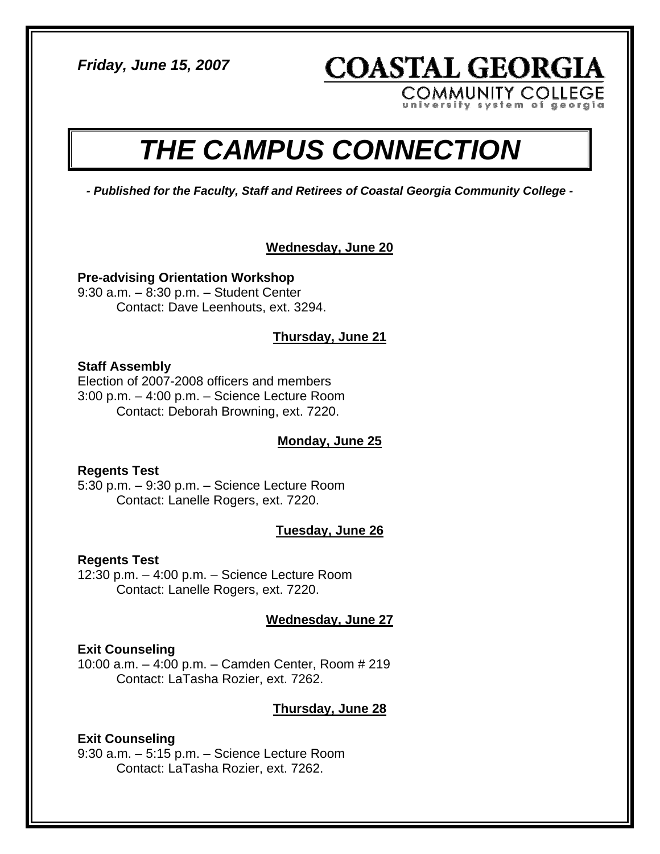*Friday, June 15, 2007* 

**COASTAL GEORGIA** 

**COMMUNITY COLLEGE** em of georgia

# *THE CAMPUS CONNECTION*

*- Published for the Faculty, Staff and Retirees of Coastal Georgia Community College -* 

#### **Wednesday, June 20**

**Pre-advising Orientation Workshop**  9:30 a.m. – 8:30 p.m. – Student Center

Contact: Dave Leenhouts, ext. 3294.

# **Thursday, June 21**

#### **Staff Assembly**

Election of 2007-2008 officers and members 3:00 p.m. – 4:00 p.m. – Science Lecture Room Contact: Deborah Browning, ext. 7220.

# **Monday, June 25**

#### **Regents Test**

5:30 p.m. – 9:30 p.m. – Science Lecture Room Contact: Lanelle Rogers, ext. 7220.

# **Tuesday, June 26**

#### **Regents Test**

12:30 p.m. – 4:00 p.m. – Science Lecture Room Contact: Lanelle Rogers, ext. 7220.

# **Wednesday, June 27**

#### **Exit Counseling**

10:00 a.m. – 4:00 p.m. – Camden Center, Room # 219 Contact: LaTasha Rozier, ext. 7262.

# **Thursday, June 28**

# **Exit Counseling**

9:30 a.m. – 5:15 p.m. – Science Lecture Room Contact: LaTasha Rozier, ext. 7262.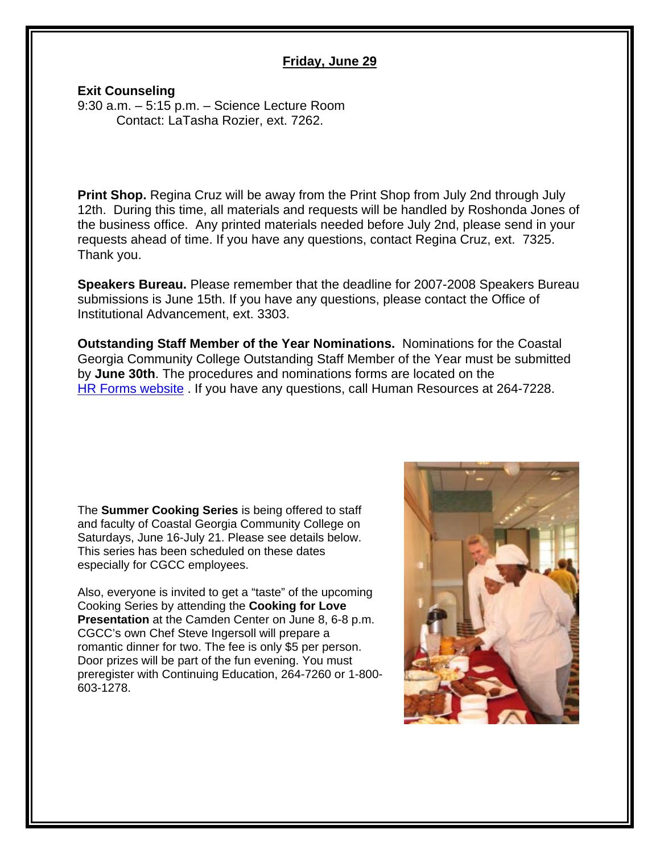#### **Friday, June 29**

#### **Exit Counseling**

9:30 a.m. – 5:15 p.m. – Science Lecture Room Contact: LaTasha Rozier, ext. 7262.

**Print Shop.** Regina Cruz will be away from the Print Shop from July 2nd through July 12th. During this time, all materials and requests will be handled by Roshonda Jones of the business office. Any printed materials needed before July 2nd, please send in your requests ahead of time. If you have any questions, contact Regina Cruz, ext. 7325. Thank you.

**Speakers Bureau.** Please remember that the deadline for 2007-2008 Speakers Bureau submissions is June 15th. If you have any questions, please contact the Office of Institutional Advancement, ext. 3303.

**Outstanding Staff Member of the Year Nominations.** Nominations for the Coastal Georgia Community College Outstanding Staff Member of the Year must be submitted by **June 30th**. The procedures and nominations forms are located on the [HR Forms website](http://www.cgcc.edu/humres/hr_forms.html) . If you have any questions, call Human Resources at 264-7228.

The **Summer Cooking Series** is being offered to staff and faculty of Coastal Georgia Community College on Saturdays, June 16-July 21. Please see details below. This series has been scheduled on these dates especially for CGCC employees.

Also, everyone is invited to get a "taste" of the upcoming Cooking Series by attending the **Cooking for Love Presentation** at the Camden Center on June 8, 6-8 p.m. CGCC's own Chef Steve Ingersoll will prepare a romantic dinner for two. The fee is only \$5 per person. Door prizes will be part of the fun evening. You must preregister with Continuing Education, 264-7260 or 1-800- 603-1278.